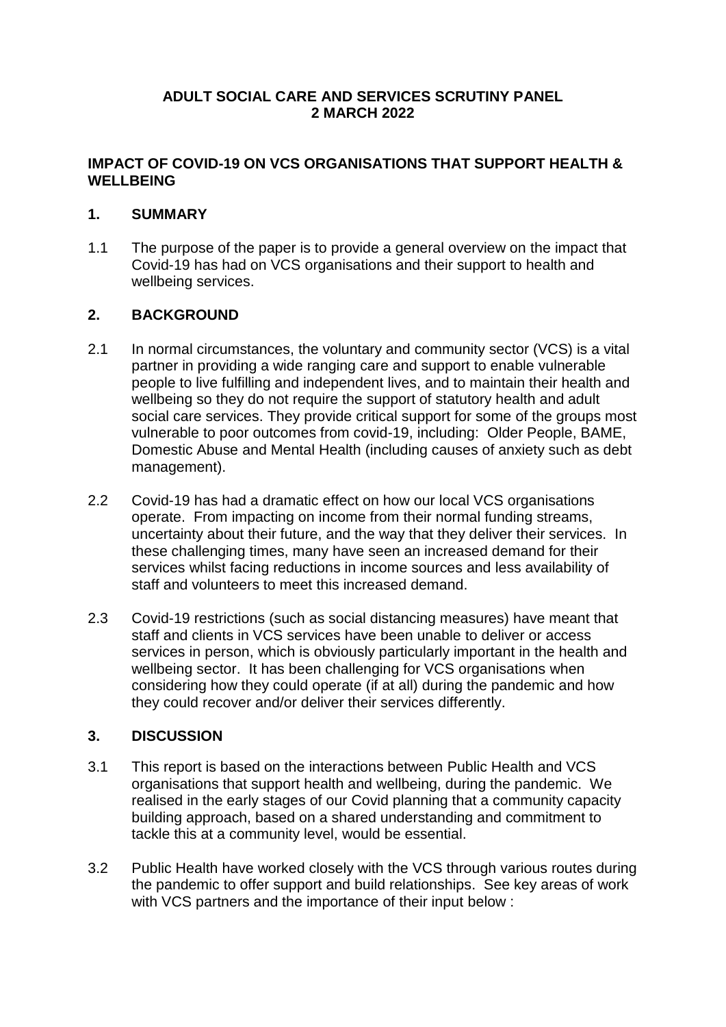#### **ADULT SOCIAL CARE AND SERVICES SCRUTINY PANEL 2 MARCH 2022**

# **IMPACT OF COVID-19 ON VCS ORGANISATIONS THAT SUPPORT HEALTH & WELLBEING**

# **1. SUMMARY**

1.1 The purpose of the paper is to provide a general overview on the impact that Covid-19 has had on VCS organisations and their support to health and wellbeing services.

# **2. BACKGROUND**

- 2.1 In normal circumstances, the voluntary and community sector (VCS) is a vital partner in providing a wide ranging care and support to enable vulnerable people to live fulfilling and independent lives, and to maintain their health and wellbeing so they do not require the support of statutory health and adult social care services. They provide critical support for some of the groups most vulnerable to poor outcomes from covid-19, including: Older People, BAME, Domestic Abuse and Mental Health (including causes of anxiety such as debt management).
- 2.2 Covid-19 has had a dramatic effect on how our local VCS organisations operate. From impacting on income from their normal funding streams, uncertainty about their future, and the way that they deliver their services. In these challenging times, many have seen an increased demand for their services whilst facing reductions in income sources and less availability of staff and volunteers to meet this increased demand.
- 2.3 Covid-19 restrictions (such as social distancing measures) have meant that staff and clients in VCS services have been unable to deliver or access services in person, which is obviously particularly important in the health and wellbeing sector. It has been challenging for VCS organisations when considering how they could operate (if at all) during the pandemic and how they could recover and/or deliver their services differently.

# **3. DISCUSSION**

- 3.1 This report is based on the interactions between Public Health and VCS organisations that support health and wellbeing, during the pandemic. We realised in the early stages of our Covid planning that a community capacity building approach, based on a shared understanding and commitment to tackle this at a community level, would be essential.
- 3.2 Public Health have worked closely with the VCS through various routes during the pandemic to offer support and build relationships. See key areas of work with VCS partners and the importance of their input below :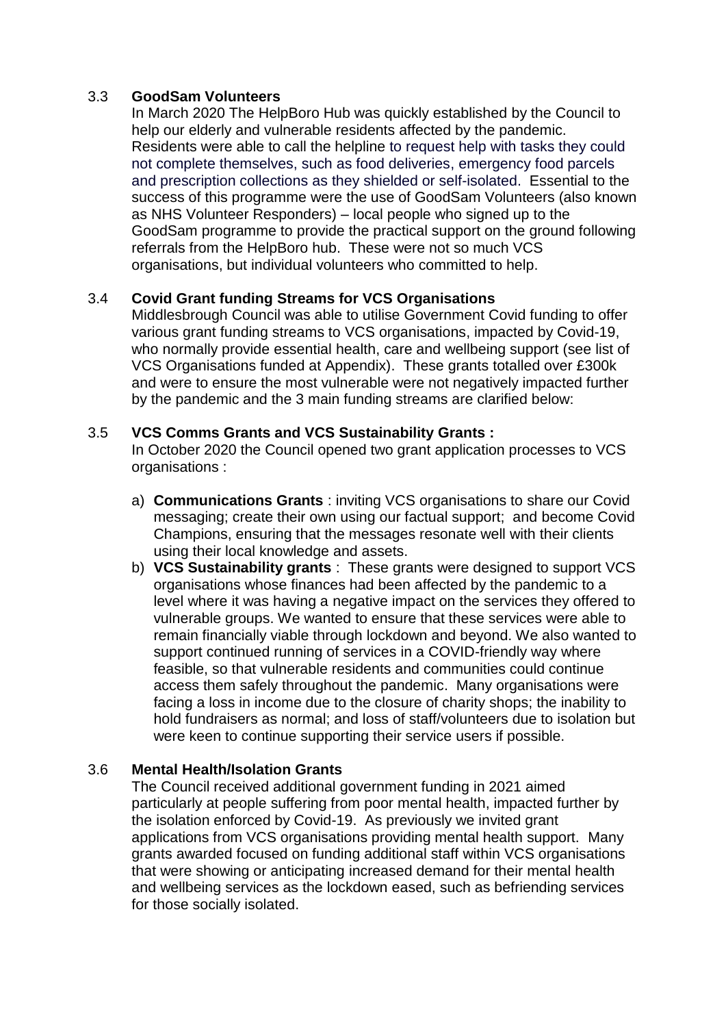#### 3.3 **GoodSam Volunteers**

In March 2020 The HelpBoro Hub was quickly established by the Council to help our elderly and vulnerable residents affected by the pandemic. Residents were able to call the helpline to request help with tasks they could not complete themselves, such as food deliveries, emergency food parcels and prescription collections as they shielded or self-isolated. Essential to the success of this programme were the use of GoodSam Volunteers (also known as NHS Volunteer Responders) – local people who signed up to the GoodSam programme to provide the practical support on the ground following referrals from the HelpBoro hub. These were not so much VCS organisations, but individual volunteers who committed to help.

#### 3.4 **Covid Grant funding Streams for VCS Organisations**

Middlesbrough Council was able to utilise Government Covid funding to offer various grant funding streams to VCS organisations, impacted by Covid-19, who normally provide essential health, care and wellbeing support (see list of VCS Organisations funded at Appendix). These grants totalled over £300k and were to ensure the most vulnerable were not negatively impacted further by the pandemic and the 3 main funding streams are clarified below:

#### 3.5 **VCS Comms Grants and VCS Sustainability Grants :**

In October 2020 the Council opened two grant application processes to VCS organisations :

- a) **Communications Grants** : inviting VCS organisations to share our Covid messaging; create their own using our factual support; and become Covid Champions, ensuring that the messages resonate well with their clients using their local knowledge and assets.
- b) **VCS Sustainability grants** : These grants were designed to support VCS organisations whose finances had been affected by the pandemic to a level where it was having a negative impact on the services they offered to vulnerable groups. We wanted to ensure that these services were able to remain financially viable through lockdown and beyond. We also wanted to support continued running of services in a COVID-friendly way where feasible, so that vulnerable residents and communities could continue access them safely throughout the pandemic. Many organisations were facing a loss in income due to the closure of charity shops; the inability to hold fundraisers as normal; and loss of staff/volunteers due to isolation but were keen to continue supporting their service users if possible.

#### 3.6 **Mental Health/Isolation Grants**

The Council received additional government funding in 2021 aimed particularly at people suffering from poor mental health, impacted further by the isolation enforced by Covid-19. As previously we invited grant applications from VCS organisations providing mental health support. Many grants awarded focused on funding additional staff within VCS organisations that were showing or anticipating increased demand for their mental health and wellbeing services as the lockdown eased, such as befriending services for those socially isolated.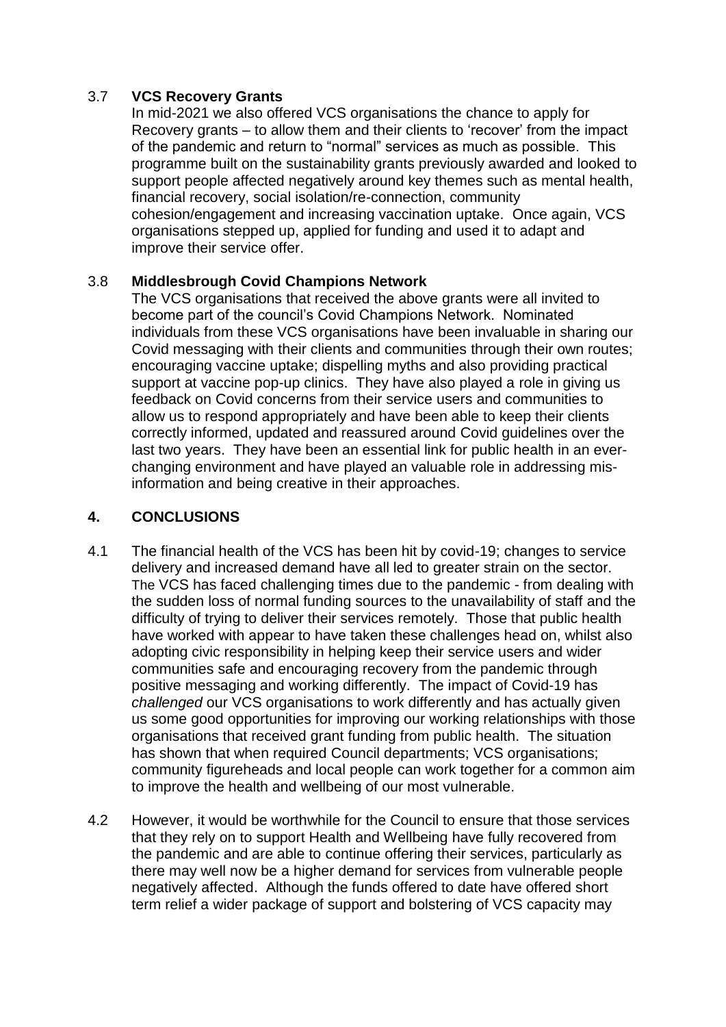# 3.7 **VCS Recovery Grants**

In mid-2021 we also offered VCS organisations the chance to apply for Recovery grants – to allow them and their clients to 'recover' from the impact of the pandemic and return to "normal" services as much as possible. This programme built on the sustainability grants previously awarded and looked to support people affected negatively around key themes such as mental health, financial recovery, social isolation/re-connection, community cohesion/engagement and increasing vaccination uptake. Once again, VCS organisations stepped up, applied for funding and used it to adapt and improve their service offer.

#### 3.8 **Middlesbrough Covid Champions Network**

The VCS organisations that received the above grants were all invited to become part of the council's Covid Champions Network. Nominated individuals from these VCS organisations have been invaluable in sharing our Covid messaging with their clients and communities through their own routes; encouraging vaccine uptake; dispelling myths and also providing practical support at vaccine pop-up clinics. They have also played a role in giving us feedback on Covid concerns from their service users and communities to allow us to respond appropriately and have been able to keep their clients correctly informed, updated and reassured around Covid guidelines over the last two years. They have been an essential link for public health in an everchanging environment and have played an valuable role in addressing misinformation and being creative in their approaches.

# **4. CONCLUSIONS**

- 4.1 The financial health of the VCS has been hit by covid-19; changes to service delivery and increased demand have all led to greater strain on the sector. The VCS has faced challenging times due to the pandemic - from dealing with the sudden loss of normal funding sources to the unavailability of staff and the difficulty of trying to deliver their services remotely. Those that public health have worked with appear to have taken these challenges head on, whilst also adopting civic responsibility in helping keep their service users and wider communities safe and encouraging recovery from the pandemic through positive messaging and working differently. The impact of Covid-19 has *challenged* our VCS organisations to work differently and has actually given us some good opportunities for improving our working relationships with those organisations that received grant funding from public health. The situation has shown that when required Council departments; VCS organisations; community figureheads and local people can work together for a common aim to improve the health and wellbeing of our most vulnerable.
- 4.2 However, it would be worthwhile for the Council to ensure that those services that they rely on to support Health and Wellbeing have fully recovered from the pandemic and are able to continue offering their services, particularly as there may well now be a higher demand for services from vulnerable people negatively affected. Although the funds offered to date have offered short term relief a wider package of support and bolstering of VCS capacity may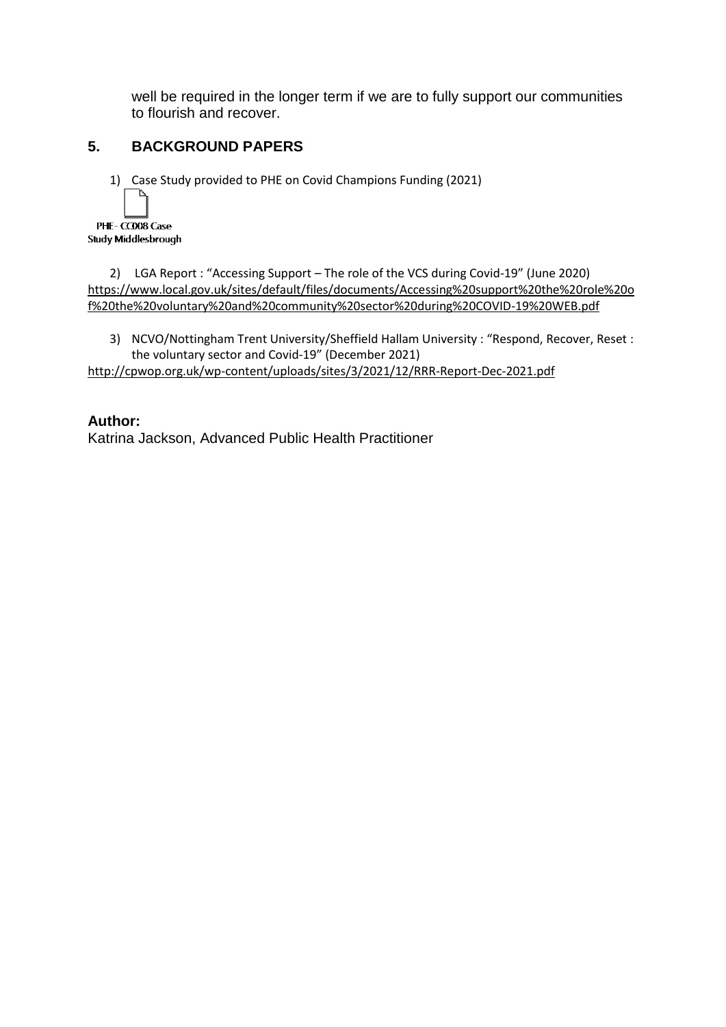well be required in the longer term if we are to fully support our communities to flourish and recover.

# **5. BACKGROUND PAPERS**

1) Case Study provided to PHE on Covid Champions Funding (2021)



2) LGA Report : "Accessing Support – The role of the VCS during Covid-19" (June 2020) [https://www.local.gov.uk/sites/default/files/documents/Accessing%20support%20the%20role%20o](https://www.local.gov.uk/sites/default/files/documents/Accessing%20support%20the%20role%20of%20the%20voluntary%20and%20community%20sector%20during%20COVID-19%20WEB.pdf) [f%20the%20voluntary%20and%20community%20sector%20during%20COVID-19%20WEB.pdf](https://www.local.gov.uk/sites/default/files/documents/Accessing%20support%20the%20role%20of%20the%20voluntary%20and%20community%20sector%20during%20COVID-19%20WEB.pdf)

3) NCVO/Nottingham Trent University/Sheffield Hallam University : "Respond, Recover, Reset : the voluntary sector and Covid-19" (December 2021)

<http://cpwop.org.uk/wp-content/uploads/sites/3/2021/12/RRR-Report-Dec-2021.pdf>

#### **Author:**

Katrina Jackson, Advanced Public Health Practitioner